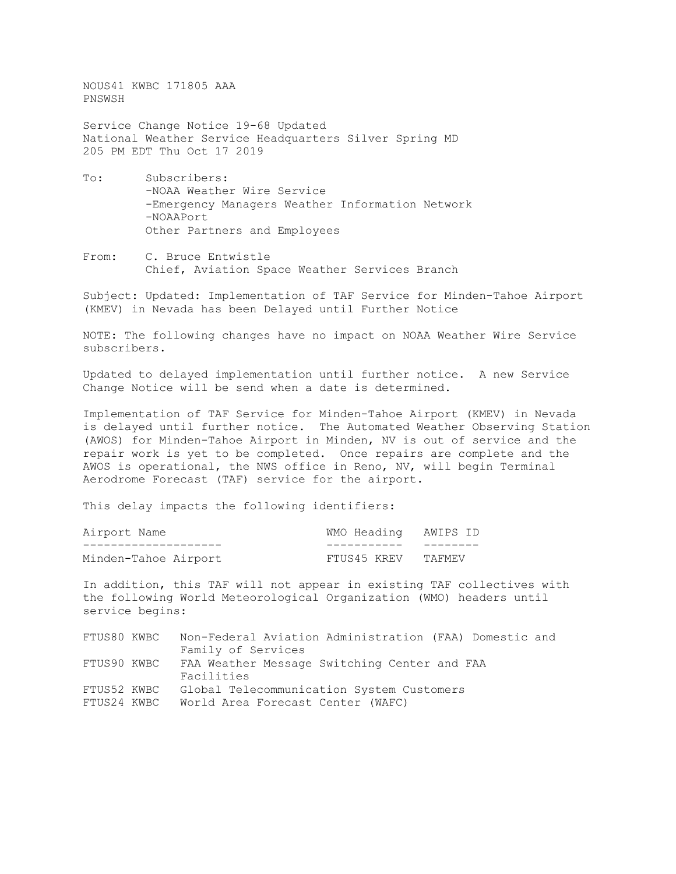NOUS41 KWBC 171805 AAA PNSWSH

Service Change Notice 19-68 Updated National Weather Service Headquarters Silver Spring MD 205 PM EDT Thu Oct 17 2019

- To: Subscribers: -NOAA Weather Wire Service -Emergency Managers Weather Information Network -NOAAPort Other Partners and Employees
- From: C. Bruce Entwistle Chief, Aviation Space Weather Services Branch

Subject: Updated: Implementation of TAF Service for Minden-Tahoe Airport (KMEV) in Nevada has been Delayed until Further Notice

NOTE: The following changes have no impact on NOAA Weather Wire Service subscribers.

Updated to delayed implementation until further notice. A new Service Change Notice will be send when a date is determined.

Implementation of TAF Service for Minden-Tahoe Airport (KMEV) in Nevada is delayed until further notice. The Automated Weather Observing Station (AWOS) for Minden-Tahoe Airport in Minden, NV is out of service and the repair work is yet to be completed. Once repairs are complete and the AWOS is operational, the NWS office in Reno, NV, will begin Terminal Aerodrome Forecast (TAF) service for the airport.

This delay impacts the following identifiers:

| Airport Name         | WMO Heading AWIPS ID |           |
|----------------------|----------------------|-----------|
| ____________________ | -----------          | _________ |
| Minden-Tahoe Airport | FTUS45 KREV TAFMEV   |           |

In addition, this TAF will not appear in existing TAF collectives with the following World Meteorological Organization (WMO) headers until service begins:

| FTUS80 KWBC | Non-Federal Aviation Administration (FAA) Domestic and |
|-------------|--------------------------------------------------------|
|             | Family of Services                                     |
| FTUS90 KWBC | FAA Weather Message Switching Center and FAA           |
|             | Facilities                                             |
| FTUS52 KWBC | Global Telecommunication System Customers              |
| FTUS24 KWBC | World Area Forecast Center (WAFC)                      |